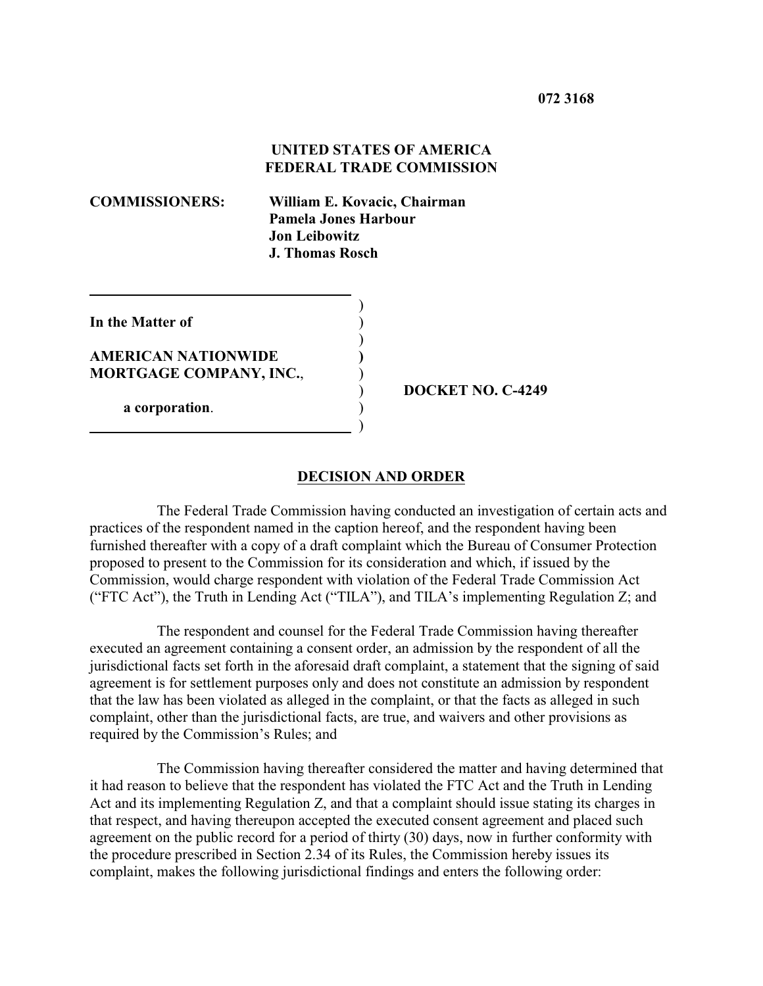**UNITED STATES OF AMERICA FEDERAL TRADE COMMISSION**

 $\overline{a}$ 

**COMMISSIONERS: William E. Kovacic, Chairman Pamela Jones Harbour Jon Leibowitz J. Thomas Rosch**

| In the Matter of                                             |  |
|--------------------------------------------------------------|--|
| <b>AMERICAN NATIONWIDE</b><br><b>MORTGAGE COMPANY, INC.,</b> |  |
| a corporation.                                               |  |

) **DOCKET NO. C-4249**

#### **DECISION AND ORDER**

The Federal Trade Commission having conducted an investigation of certain acts and practices of the respondent named in the caption hereof, and the respondent having been furnished thereafter with a copy of a draft complaint which the Bureau of Consumer Protection proposed to present to the Commission for its consideration and which, if issued by the Commission, would charge respondent with violation of the Federal Trade Commission Act ("FTC Act"), the Truth in Lending Act ("TILA"), and TILA's implementing Regulation Z; and

The respondent and counsel for the Federal Trade Commission having thereafter executed an agreement containing a consent order, an admission by the respondent of all the jurisdictional facts set forth in the aforesaid draft complaint, a statement that the signing of said agreement is for settlement purposes only and does not constitute an admission by respondent that the law has been violated as alleged in the complaint, or that the facts as alleged in such complaint, other than the jurisdictional facts, are true, and waivers and other provisions as required by the Commission's Rules; and

The Commission having thereafter considered the matter and having determined that it had reason to believe that the respondent has violated the FTC Act and the Truth in Lending Act and its implementing Regulation Z, and that a complaint should issue stating its charges in that respect, and having thereupon accepted the executed consent agreement and placed such agreement on the public record for a period of thirty (30) days, now in further conformity with the procedure prescribed in Section 2.34 of its Rules, the Commission hereby issues its complaint, makes the following jurisdictional findings and enters the following order: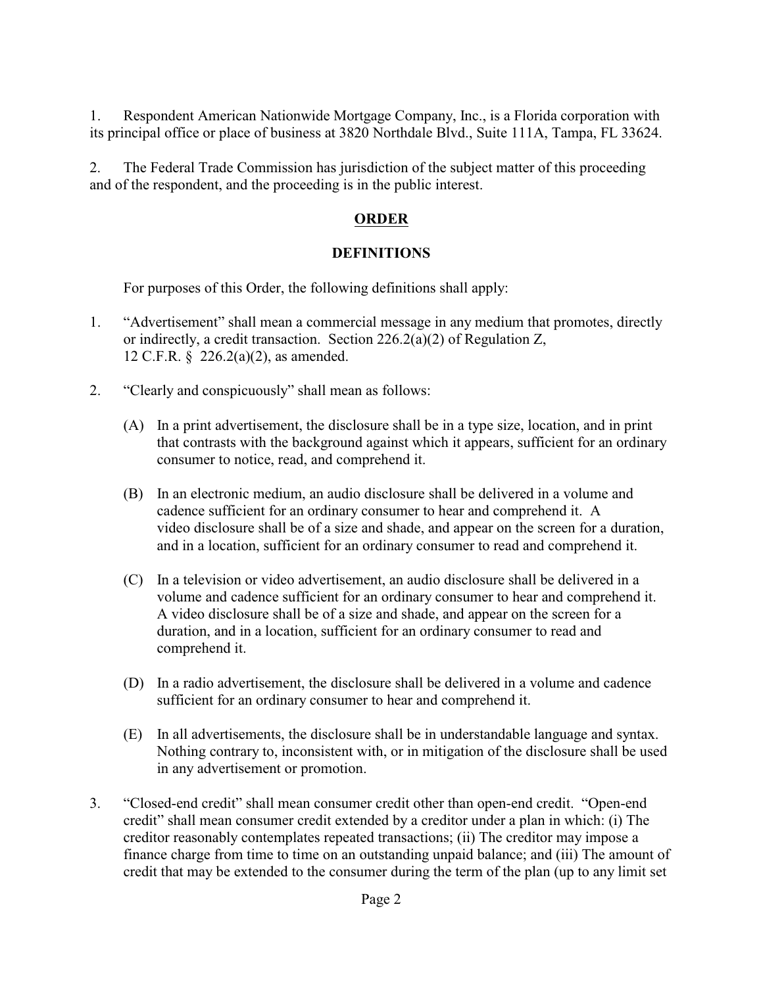1. Respondent American Nationwide Mortgage Company, Inc., is a Florida corporation with its principal office or place of business at 3820 Northdale Blvd., Suite 111A, Tampa, FL 33624.

2. The Federal Trade Commission has jurisdiction of the subject matter of this proceeding and of the respondent, and the proceeding is in the public interest.

# **ORDER**

# **DEFINITIONS**

For purposes of this Order, the following definitions shall apply:

- 1. "Advertisement" shall mean a commercial message in any medium that promotes, directly or indirectly, a credit transaction. Section 226.2(a)(2) of Regulation Z, 12 C.F.R. § 226.2(a)(2), as amended.
- 2. "Clearly and conspicuously" shall mean as follows:
	- (A) In a print advertisement, the disclosure shall be in a type size, location, and in print that contrasts with the background against which it appears, sufficient for an ordinary consumer to notice, read, and comprehend it.
	- (B) In an electronic medium, an audio disclosure shall be delivered in a volume and cadence sufficient for an ordinary consumer to hear and comprehend it. A video disclosure shall be of a size and shade, and appear on the screen for a duration, and in a location, sufficient for an ordinary consumer to read and comprehend it.
	- (C) In a television or video advertisement, an audio disclosure shall be delivered in a volume and cadence sufficient for an ordinary consumer to hear and comprehend it. A video disclosure shall be of a size and shade, and appear on the screen for a duration, and in a location, sufficient for an ordinary consumer to read and comprehend it.
	- (D) In a radio advertisement, the disclosure shall be delivered in a volume and cadence sufficient for an ordinary consumer to hear and comprehend it.
	- (E) In all advertisements, the disclosure shall be in understandable language and syntax. Nothing contrary to, inconsistent with, or in mitigation of the disclosure shall be used in any advertisement or promotion.
- 3. "Closed-end credit" shall mean consumer credit other than open-end credit. "Open-end credit" shall mean consumer credit extended by a creditor under a plan in which: (i) The creditor reasonably contemplates repeated transactions; (ii) The creditor may impose a finance charge from time to time on an outstanding unpaid balance; and (iii) The amount of credit that may be extended to the consumer during the term of the plan (up to any limit set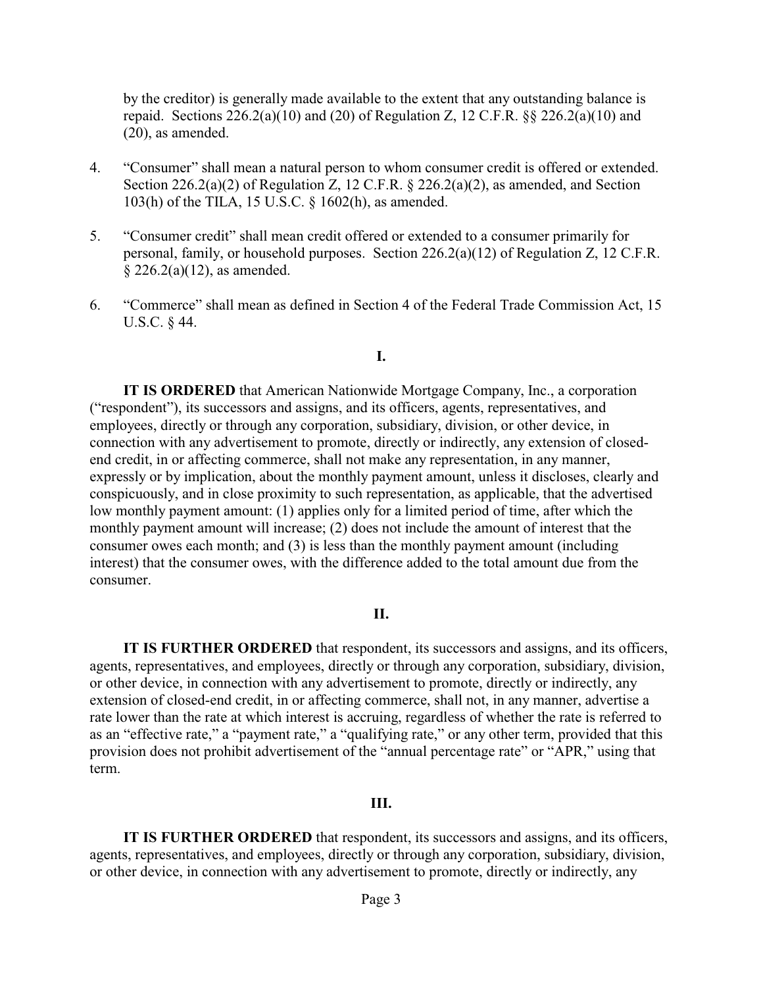by the creditor) is generally made available to the extent that any outstanding balance is repaid. Sections  $226.2(a)(10)$  and  $(20)$  of Regulation Z, 12 C.F.R. §§  $226.2(a)(10)$  and (20), as amended.

- 4. "Consumer" shall mean a natural person to whom consumer credit is offered or extended. Section 226.2(a)(2) of Regulation Z, 12 C.F.R. § 226.2(a)(2), as amended, and Section 103(h) of the TILA, 15 U.S.C. § 1602(h), as amended.
- 5. "Consumer credit" shall mean credit offered or extended to a consumer primarily for personal, family, or household purposes. Section 226.2(a)(12) of Regulation Z, 12 C.F.R. § 226.2(a)(12), as amended.
- 6. "Commerce" shall mean as defined in Section 4 of the Federal Trade Commission Act, 15 U.S.C. § 44.

### **I.**

**IT IS ORDERED** that American Nationwide Mortgage Company, Inc., a corporation ("respondent"), its successors and assigns, and its officers, agents, representatives, and employees, directly or through any corporation, subsidiary, division, or other device, in connection with any advertisement to promote, directly or indirectly, any extension of closedend credit, in or affecting commerce, shall not make any representation, in any manner, expressly or by implication, about the monthly payment amount, unless it discloses, clearly and conspicuously, and in close proximity to such representation, as applicable, that the advertised low monthly payment amount: (1) applies only for a limited period of time, after which the monthly payment amount will increase; (2) does not include the amount of interest that the consumer owes each month; and (3) is less than the monthly payment amount (including interest) that the consumer owes, with the difference added to the total amount due from the consumer.

#### **II.**

**IT IS FURTHER ORDERED** that respondent, its successors and assigns, and its officers, agents, representatives, and employees, directly or through any corporation, subsidiary, division, or other device, in connection with any advertisement to promote, directly or indirectly, any extension of closed-end credit, in or affecting commerce, shall not, in any manner, advertise a rate lower than the rate at which interest is accruing, regardless of whether the rate is referred to as an "effective rate," a "payment rate," a "qualifying rate," or any other term, provided that this provision does not prohibit advertisement of the "annual percentage rate" or "APR," using that term.

#### **III.**

**IT IS FURTHER ORDERED** that respondent, its successors and assigns, and its officers, agents, representatives, and employees, directly or through any corporation, subsidiary, division, or other device, in connection with any advertisement to promote, directly or indirectly, any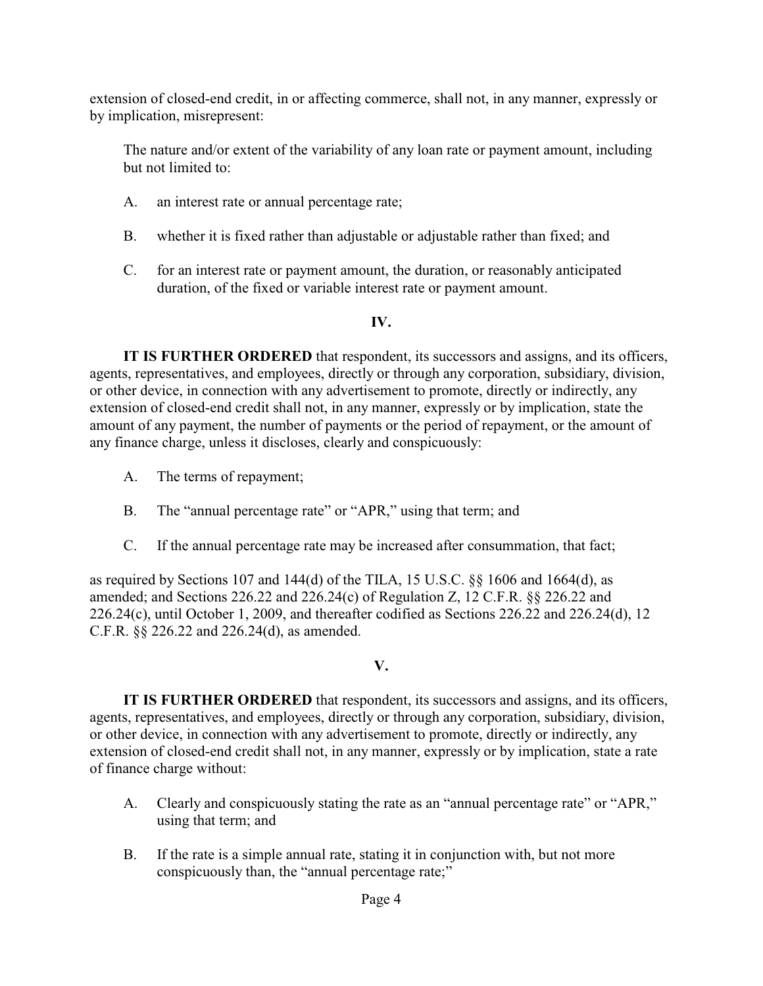extension of closed-end credit, in or affecting commerce, shall not, in any manner, expressly or by implication, misrepresent:

The nature and/or extent of the variability of any loan rate or payment amount, including but not limited to:

- A. an interest rate or annual percentage rate;
- B. whether it is fixed rather than adjustable or adjustable rather than fixed; and
- C. for an interest rate or payment amount, the duration, or reasonably anticipated duration, of the fixed or variable interest rate or payment amount.

## **IV.**

**IT IS FURTHER ORDERED** that respondent, its successors and assigns, and its officers, agents, representatives, and employees, directly or through any corporation, subsidiary, division, or other device, in connection with any advertisement to promote, directly or indirectly, any extension of closed-end credit shall not, in any manner, expressly or by implication, state the amount of any payment, the number of payments or the period of repayment, or the amount of any finance charge, unless it discloses, clearly and conspicuously:

- A. The terms of repayment;
- B. The "annual percentage rate" or "APR," using that term; and
- C. If the annual percentage rate may be increased after consummation, that fact;

as required by Sections 107 and 144(d) of the TILA, 15 U.S.C. §§ 1606 and 1664(d), as amended; and Sections 226.22 and 226.24(c) of Regulation Z, 12 C.F.R. §§ 226.22 and 226.24(c), until October 1, 2009, and thereafter codified as Sections 226.22 and 226.24(d), 12 C.F.R. §§ 226.22 and 226.24(d), as amended.

## **V.**

**IT IS FURTHER ORDERED** that respondent, its successors and assigns, and its officers, agents, representatives, and employees, directly or through any corporation, subsidiary, division, or other device, in connection with any advertisement to promote, directly or indirectly, any extension of closed-end credit shall not, in any manner, expressly or by implication, state a rate of finance charge without:

- A. Clearly and conspicuously stating the rate as an "annual percentage rate" or "APR," using that term; and
- B. If the rate is a simple annual rate, stating it in conjunction with, but not more conspicuously than, the "annual percentage rate;"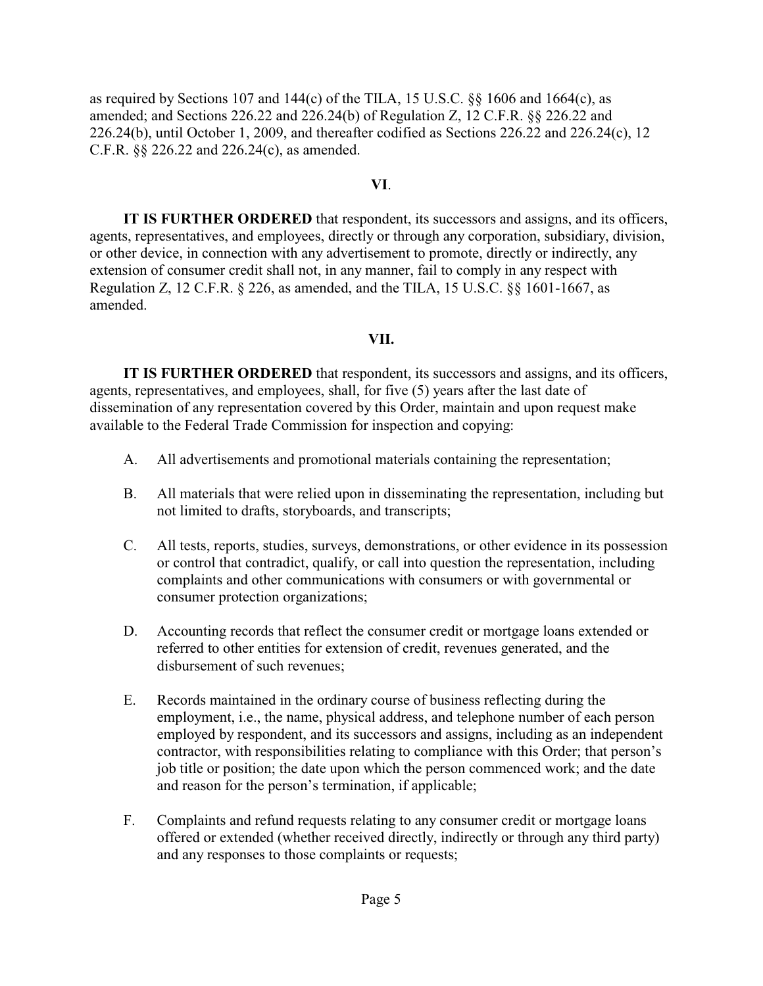as required by Sections 107 and 144(c) of the TILA, 15 U.S.C. §§ 1606 and 1664(c), as amended; and Sections 226.22 and 226.24(b) of Regulation Z, 12 C.F.R. §§ 226.22 and 226.24(b), until October 1, 2009, and thereafter codified as Sections 226.22 and 226.24(c), 12 C.F.R. §§ 226.22 and 226.24(c), as amended.

## **VI**.

**IT IS FURTHER ORDERED** that respondent, its successors and assigns, and its officers, agents, representatives, and employees, directly or through any corporation, subsidiary, division, or other device, in connection with any advertisement to promote, directly or indirectly, any extension of consumer credit shall not, in any manner, fail to comply in any respect with Regulation Z, 12 C.F.R. § 226, as amended, and the TILA, 15 U.S.C. §§ 1601-1667, as amended.

## **VII.**

**IT IS FURTHER ORDERED** that respondent, its successors and assigns, and its officers, agents, representatives, and employees, shall, for five (5) years after the last date of dissemination of any representation covered by this Order, maintain and upon request make available to the Federal Trade Commission for inspection and copying:

- A. All advertisements and promotional materials containing the representation;
- B. All materials that were relied upon in disseminating the representation, including but not limited to drafts, storyboards, and transcripts;
- C. All tests, reports, studies, surveys, demonstrations, or other evidence in its possession or control that contradict, qualify, or call into question the representation, including complaints and other communications with consumers or with governmental or consumer protection organizations;
- D. Accounting records that reflect the consumer credit or mortgage loans extended or referred to other entities for extension of credit, revenues generated, and the disbursement of such revenues;
- E. Records maintained in the ordinary course of business reflecting during the employment, i.e., the name, physical address, and telephone number of each person employed by respondent, and its successors and assigns, including as an independent contractor, with responsibilities relating to compliance with this Order; that person's job title or position; the date upon which the person commenced work; and the date and reason for the person's termination, if applicable;
- F. Complaints and refund requests relating to any consumer credit or mortgage loans offered or extended (whether received directly, indirectly or through any third party) and any responses to those complaints or requests;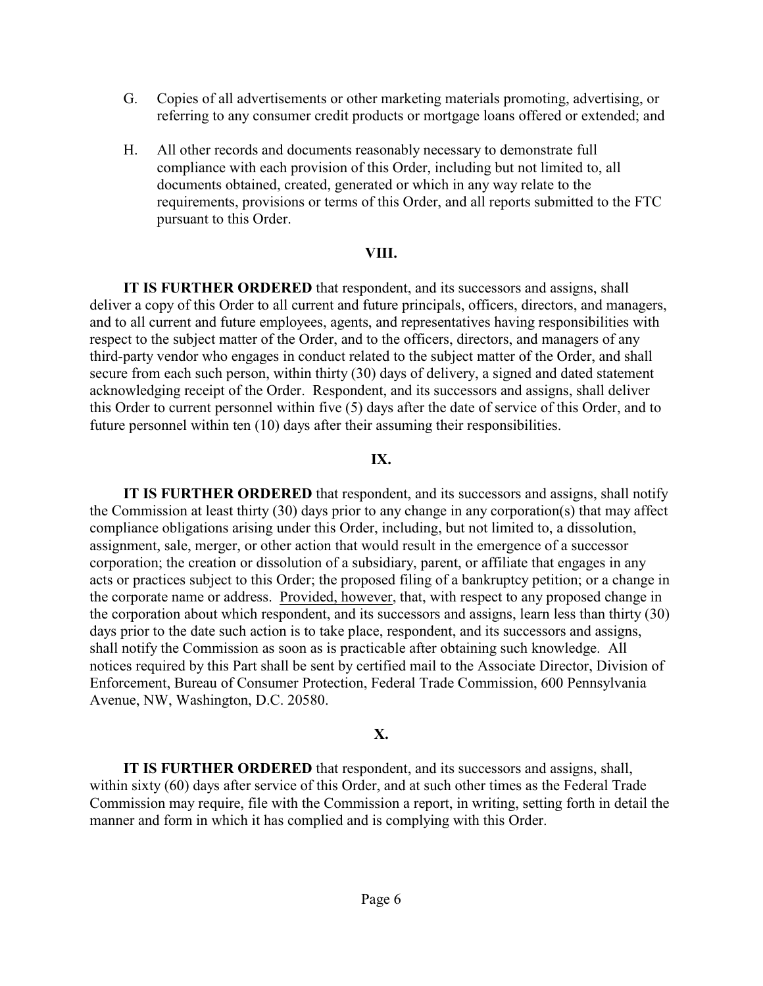- G. Copies of all advertisements or other marketing materials promoting, advertising, or referring to any consumer credit products or mortgage loans offered or extended; and
- H. All other records and documents reasonably necessary to demonstrate full compliance with each provision of this Order, including but not limited to, all documents obtained, created, generated or which in any way relate to the requirements, provisions or terms of this Order, and all reports submitted to the FTC pursuant to this Order.

### **VIII.**

**IT IS FURTHER ORDERED** that respondent, and its successors and assigns, shall deliver a copy of this Order to all current and future principals, officers, directors, and managers, and to all current and future employees, agents, and representatives having responsibilities with respect to the subject matter of the Order, and to the officers, directors, and managers of any third-party vendor who engages in conduct related to the subject matter of the Order, and shall secure from each such person, within thirty (30) days of delivery, a signed and dated statement acknowledging receipt of the Order. Respondent, and its successors and assigns, shall deliver this Order to current personnel within five (5) days after the date of service of this Order, and to future personnel within ten (10) days after their assuming their responsibilities.

### **IX.**

**IT IS FURTHER ORDERED** that respondent, and its successors and assigns, shall notify the Commission at least thirty (30) days prior to any change in any corporation(s) that may affect compliance obligations arising under this Order, including, but not limited to, a dissolution, assignment, sale, merger, or other action that would result in the emergence of a successor corporation; the creation or dissolution of a subsidiary, parent, or affiliate that engages in any acts or practices subject to this Order; the proposed filing of a bankruptcy petition; or a change in the corporate name or address. Provided, however, that, with respect to any proposed change in the corporation about which respondent, and its successors and assigns, learn less than thirty (30) days prior to the date such action is to take place, respondent, and its successors and assigns, shall notify the Commission as soon as is practicable after obtaining such knowledge. All notices required by this Part shall be sent by certified mail to the Associate Director, Division of Enforcement, Bureau of Consumer Protection, Federal Trade Commission, 600 Pennsylvania Avenue, NW, Washington, D.C. 20580.

### **X.**

**IT IS FURTHER ORDERED** that respondent, and its successors and assigns, shall, within sixty (60) days after service of this Order, and at such other times as the Federal Trade Commission may require, file with the Commission a report, in writing, setting forth in detail the manner and form in which it has complied and is complying with this Order.